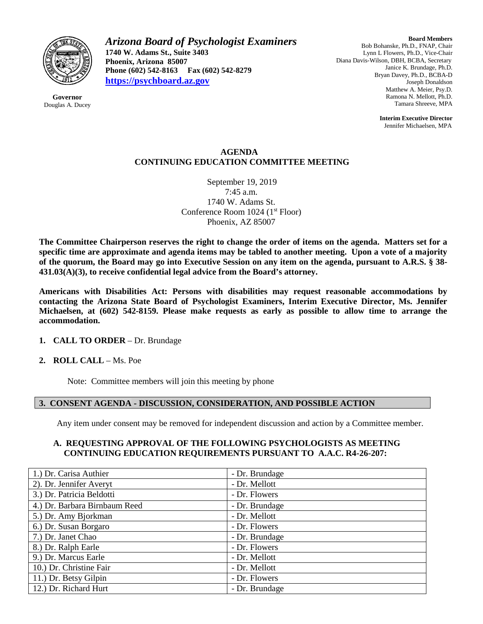

**Governor** Douglas A. Ducey *Arizona Board of Psychologist Examiners* **1740 W. Adams St., Suite 3403 Phoenix, Arizona 85007 Phone (602) 542-8163 Fax (602) 542-8279 [https://psychboard.az.gov](https://psychboard.az.gov/)**

**Board Members** Bob Bohanske, Ph.D., FNAP, Chair Lynn L Flowers, Ph.D., Vice-Chair Diana Davis-Wilson, DBH, BCBA, Secretary Janice K. Brundage, Ph.D. Bryan Davey, Ph.D., BCBA-D Joseph Donaldson Matthew A. Meier, Psy.D. Ramona N. Mellott, Ph.D. Tamara Shreeve, MPA

> **Interim Executive Director** Jennifer Michaelsen, MPA

### **AGENDA CONTINUING EDUCATION COMMITTEE MEETING**

September 19, 2019 7:45 a.m. 1740 W. Adams St. Conference Room 1024 (1<sup>st</sup> Floor) Phoenix, AZ 85007

**The Committee Chairperson reserves the right to change the order of items on the agenda. Matters set for a specific time are approximate and agenda items may be tabled to another meeting. Upon a vote of a majority of the quorum, the Board may go into Executive Session on any item on the agenda, pursuant to A.R.S. § 38- 431.03(A)(3), to receive confidential legal advice from the Board's attorney.**

**Americans with Disabilities Act: Persons with disabilities may request reasonable accommodations by contacting the Arizona State Board of Psychologist Examiners, Interim Executive Director, Ms. Jennifer Michaelsen, at (602) 542-8159. Please make requests as early as possible to allow time to arrange the accommodation.**

# **1. CALL TO ORDER** – Dr. Brundage

#### **2. ROLL CALL** – Ms. Poe

Note: Committee members will join this meeting by phone

#### **3. CONSENT AGENDA - DISCUSSION, CONSIDERATION, AND POSSIBLE ACTION**

Any item under consent may be removed for independent discussion and action by a Committee member.

#### **A. REQUESTING APPROVAL OF THE FOLLOWING PSYCHOLOGISTS AS MEETING CONTINUING EDUCATION REQUIREMENTS PURSUANT TO A.A.C. R4-26-207:**

| 1.) Dr. Carisa Authier        | - Dr. Brundage |
|-------------------------------|----------------|
| 2). Dr. Jennifer Averyt       | - Dr. Mellott  |
| 3.) Dr. Patricia Beldotti     | - Dr. Flowers  |
| 4.) Dr. Barbara Birnbaum Reed | - Dr. Brundage |
| 5.) Dr. Amy Bjorkman          | - Dr. Mellott  |
| 6.) Dr. Susan Borgaro         | - Dr. Flowers  |
| 7.) Dr. Janet Chao            | - Dr. Brundage |
| 8.) Dr. Ralph Earle           | - Dr. Flowers  |
| 9.) Dr. Marcus Earle          | - Dr. Mellott  |
| 10.) Dr. Christine Fair       | - Dr. Mellott  |
| 11.) Dr. Betsy Gilpin         | - Dr. Flowers  |
| 12.) Dr. Richard Hurt         | - Dr. Brundage |